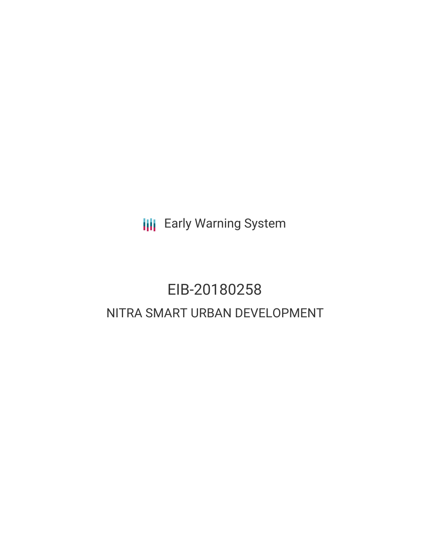**III** Early Warning System

# EIB-20180258 NITRA SMART URBAN DEVELOPMENT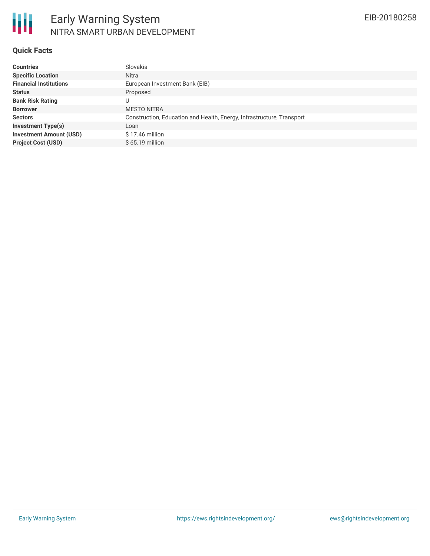

#### **Quick Facts**

| <b>Countries</b>               | Slovakia                                                              |
|--------------------------------|-----------------------------------------------------------------------|
| <b>Specific Location</b>       | Nitra                                                                 |
| <b>Financial Institutions</b>  | European Investment Bank (EIB)                                        |
| <b>Status</b>                  | Proposed                                                              |
| <b>Bank Risk Rating</b>        | U                                                                     |
| <b>Borrower</b>                | <b>MESTO NITRA</b>                                                    |
| <b>Sectors</b>                 | Construction, Education and Health, Energy, Infrastructure, Transport |
| <b>Investment Type(s)</b>      | Loan                                                                  |
| <b>Investment Amount (USD)</b> | $$17.46$ million                                                      |
| <b>Project Cost (USD)</b>      | $$65.19$ million                                                      |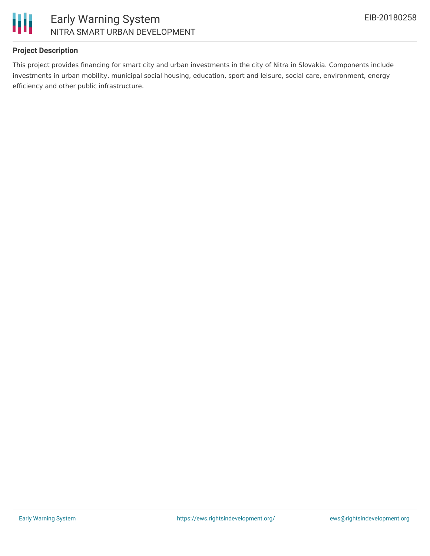

## Early Warning System NITRA SMART URBAN DEVELOPMENT

### **Project Description**

This project provides financing for smart city and urban investments in the city of Nitra in Slovakia. Components include investments in urban mobility, municipal social housing, education, sport and leisure, social care, environment, energy efficiency and other public infrastructure.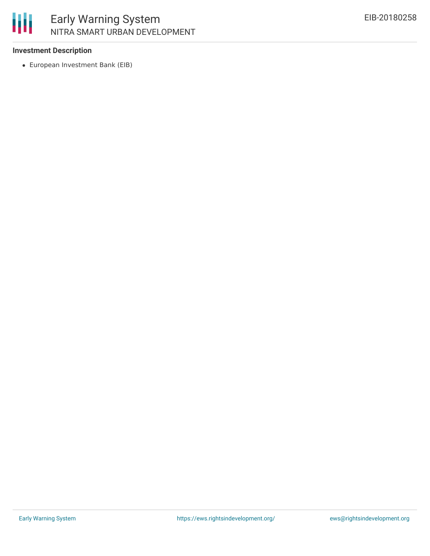

# Early Warning System NITRA SMART URBAN DEVELOPMENT

### **Investment Description**

European Investment Bank (EIB)